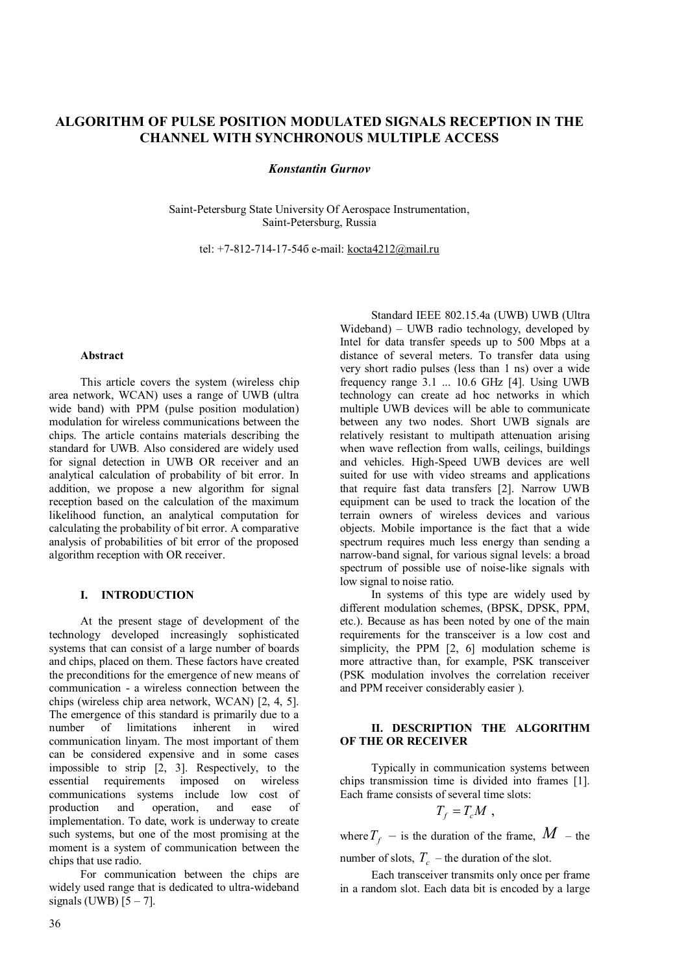# **ALGORITHM OF PULSE POSITION MODULATED SIGNALS RECEPTION IN THE CHANNEL WITH SYNCHRONOUS MULTIPLE ACCESS**

## *Konstantin Gurnov*

Saint-Petersburg State University Of Aerospace Instrumentation, Saint-Petersburg, Russia

tel: +7-812-714-17-54б e-mail: kocta4212@mail.ru

#### **Abstract**

This article covers the system (wireless chip area network, WCAN) uses a range of UWB (ultra wide band) with PPM (pulse position modulation) modulation for wireless communications between the chips. The article contains materials describing the standard for UWB. Also considered are widely used for signal detection in UWB OR receiver and an analytical calculation of probability of bit error. In addition, we propose a new algorithm for signal reception based on the calculation of the maximum likelihood function, an analytical computation for calculating the probability of bit error. A comparative analysis of probabilities of bit error of the proposed algorithm reception with OR receiver.

# **I. INTRODUCTION**

At the present stage of development of the technology developed increasingly sophisticated systems that can consist of a large number of boards and chips, placed on them. These factors have created the preconditions for the emergence of new means of communication - a wireless connection between the chips (wireless chip area network, WCAN) [2, 4, 5]. The emergence of this standard is primarily due to a number of limitations inherent in wired communication linyam. The most important of them can be considered expensive and in some cases impossible to strip [2, 3]. Respectively, to the essential requirements imposed on wireless communications systems include low cost of production and operation, and ease of implementation. To date, work is underway to create such systems, but one of the most promising at the moment is a system of communication between the chips that use radio.

For communication between the chips are widely used range that is dedicated to ultra-wideband signals (UWB)  $[5 - 7]$ .

Standard IEEE 802.15.4a (UWB) UWB (Ultra Wideband) – UWB radio technology, developed by Intel for data transfer speeds up to 500 Mbps at a distance of several meters. To transfer data using very short radio pulses (less than 1 ns) over a wide frequency range 3.1 ... 10.6 GHz [4]. Using UWB technology can create ad hoc networks in which multiple UWB devices will be able to communicate between any two nodes. Short UWB signals are relatively resistant to multipath attenuation arising when wave reflection from walls, ceilings, buildings and vehicles. High-Speed UWB devices are well suited for use with video streams and applications that require fast data transfers [2]. Narrow UWB equipment can be used to track the location of the terrain owners of wireless devices and various objects. Mobile importance is the fact that a wide spectrum requires much less energy than sending a narrow-band signal, for various signal levels: a broad spectrum of possible use of noise-like signals with low signal to noise ratio.

In systems of this type are widely used by different modulation schemes, (BPSK, DPSK, PPM, etc.). Because as has been noted by one of the main requirements for the transceiver is a low cost and simplicity, the PPM [2, 6] modulation scheme is more attractive than, for example, PSK transceiver (PSK modulation involves the correlation receiver and PPM receiver considerably easier ).

## **II. DESCRIPTION THE ALGORITHM OF THE OR RECEIVER**

Typically in communication systems between chips transmission time is divided into frames [1]. Each frame consists of several time slots:

$$
T_{f}=T_{c}M,
$$

where  $T_f$  – is the duration of the frame,  $M$  – the

number of slots,  $T_c$  – the duration of the slot.

Each transceiver transmits only once per frame in a random slot. Each data bit is encoded by a large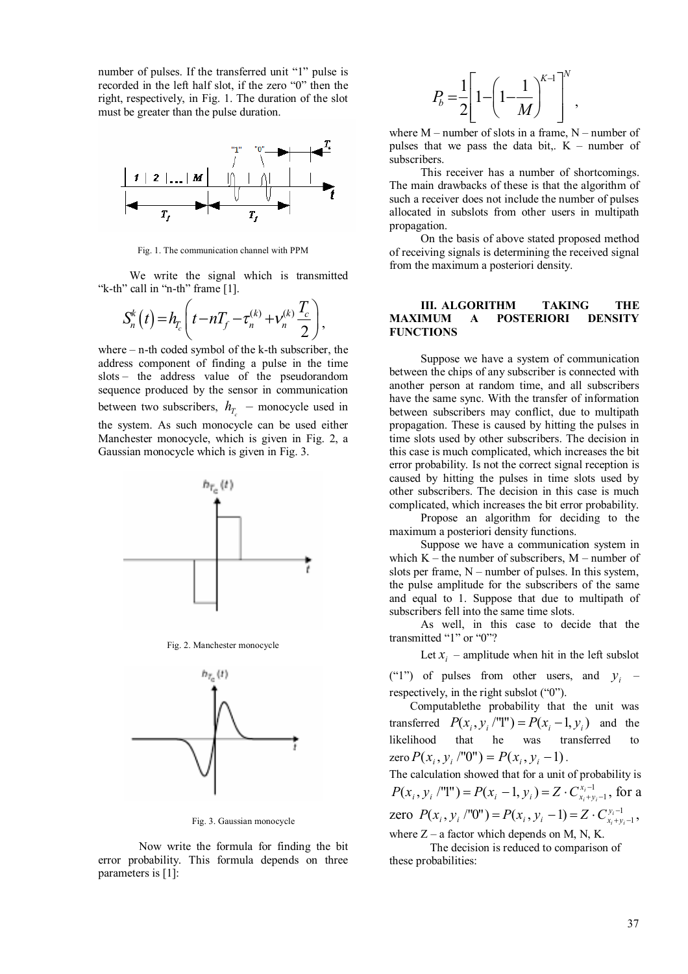number of pulses. If the transferred unit "1" pulse is recorded in the left half slot, if the zero "0" then the right, respectively, in Fig. 1. The duration of the slot must be greater than the pulse duration.



Fig. 1. The communication channel with PPM

We write the signal which is transmitted "k-th" call in "n-th" frame [1].

$$
S_n^k(t) = h_{T_c}\left(t - nT_f - \tau_n^{(k)} + v_n^{(k)}\frac{T_c}{2}\right),
$$

where – n-th coded symbol of the k-th subscriber, the address component of finding a pulse in the time slots – the address value of the pseudorandom sequence produced by the sensor in communication between two subscribers,  $h_{T_c}$  – monocycle used in the system. As such monocycle can be used either Manchester monocycle, which is given in Fig. 2, a Gaussian monocycle which is given in Fig. 3.



Fig. 3. Gaussian monocycle

Now write the formula for finding the bit error probability. This formula depends on three parameters is [1]:

$$
P_b = \frac{1}{2} \left[ 1 - \left( 1 - \frac{1}{M} \right)^{K-1} \right]^N,
$$

where  $M$  – number of slots in a frame,  $N$  – number of pulses that we pass the data bit,.  $K$  – number of subscribers.

This receiver has a number of shortcomings. The main drawbacks of these is that the algorithm of such a receiver does not include the number of pulses allocated in subslots from other users in multipath propagation.

On the basis of above stated proposed method of receiving signals is determining the received signal from the maximum a posteriori density.

#### **III. ALGORITHM TAKING THE MAXIMUM A POSTERIORI DENSITY FUNCTIONS**

Suppose we have a system of communication between the chips of any subscriber is connected with another person at random time, and all subscribers have the same sync. With the transfer of information between subscribers may conflict, due to multipath propagation. These is caused by hitting the pulses in time slots used by other subscribers. The decision in this case is much complicated, which increases the bit error probability. Is not the correct signal reception is caused by hitting the pulses in time slots used by other subscribers. The decision in this case is much complicated, which increases the bit error probability.

Propose an algorithm for deciding to the maximum a posteriori density functions.

Suppose we have a communication system in which  $K -$  the number of subscribers,  $M -$  number of slots per frame,  $N$  – number of pulses. In this system, the pulse amplitude for the subscribers of the same and equal to 1. Suppose that due to multipath of subscribers fell into the same time slots.

As well, in this case to decide that the transmitted "1" or "0"?

Let  $x_i$  – amplitude when hit in the left subslot

("1") of pulses from other users, and  $y_i$  – respectively, in the right subslot ("0").

Computablethe probability that the unit was transferred  $P(x_i, y_i$ /"I" $) = P(x_i - 1, y_i)$  and the likelihood that he was transferred to  $\text{zero } P(x_i, y_i \mid \text{''0''}) = P(x_i, y_i - 1).$ 

The calculation showed that for a unit of probability is 1  $(x_i, y_i$  /''l'') =  $P(x_i - 1, y_i) = Z \cdot C_{x_i + y_i - 1}^{x_i - 1}$ *i i*  $P(x_i, y_i$  /''I'') =  $P(x_i - 1, y_i) = Z \cdot C_{x_i + y_i - 1}^{x_i - 1}$ , for a zero  $P(x_i, y_i \wedge^{\text{m}} 0\text{''}) = P(x_i, y_i - 1) = Z \cdot C_{x_i + y_i - 1}^{y_i - 1}$ *i i*  $P(x_i, y_i \mid T0") = P(x_i, y_i - 1) = Z \cdot C_{x_i + y_i - 1}^{y_i - 1},$ where  $Z - a$  factor which depends on M, N, K.

The decision is reduced to comparison of these probabilities: